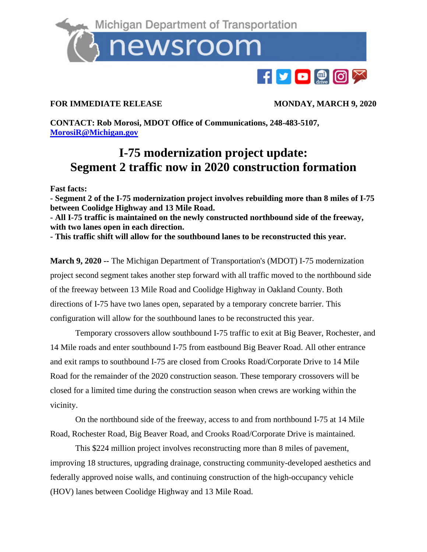Michigan Department of Transportation newsroom

## **FOR IMMEDIATE RELEASE MONDAY, MARCH 9, 2020**

F**PPPF** 

**CONTACT: Rob Morosi, MDOT Office of Communications, 248-483-5107, MorosiR@Michigan.gov**

## **I-75 modernization project update: Segment 2 traffic now in 2020 construction formation**

**Fast facts:** 

**- Segment 2 of the I-75 modernization project involves rebuilding more than 8 miles of I-75 between Coolidge Highway and 13 Mile Road.** 

**- All I-75 traffic is maintained on the newly constructed northbound side of the freeway, with two lanes open in each direction.** 

**- This traffic shift will allow for the southbound lanes to be reconstructed this year.** 

**March 9, 2020 --** The Michigan Department of Transportation's (MDOT) I-75 modernization project second segment takes another step forward with all traffic moved to the northbound side of the freeway between 13 Mile Road and Coolidge Highway in Oakland County. Both directions of I-75 have two lanes open, separated by a temporary concrete barrier. This configuration will allow for the southbound lanes to be reconstructed this year.

Temporary crossovers allow southbound I-75 traffic to exit at Big Beaver, Rochester, and 14 Mile roads and enter southbound I-75 from eastbound Big Beaver Road. All other entrance and exit ramps to southbound I-75 are closed from Crooks Road/Corporate Drive to 14 Mile Road for the remainder of the 2020 construction season. These temporary crossovers will be closed for a limited time during the construction season when crews are working within the vicinity.

On the northbound side of the freeway, access to and from northbound I-75 at 14 Mile Road, Rochester Road, Big Beaver Road, and Crooks Road/Corporate Drive is maintained.

This \$224 million project involves reconstructing more than 8 miles of pavement, improving 18 structures, upgrading drainage, constructing community-developed aesthetics and federally approved noise walls, and continuing construction of the high-occupancy vehicle (HOV) lanes between Coolidge Highway and 13 Mile Road.